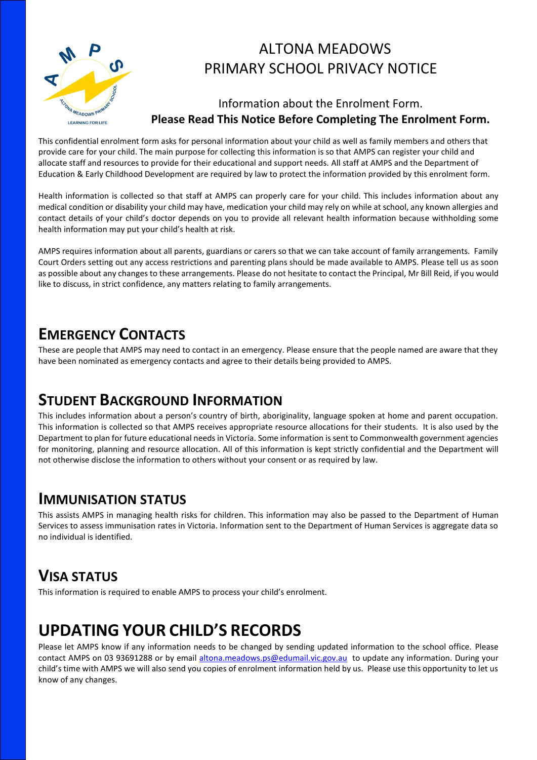

## ALTONA MEADOWS PRIMARY SCHOOL PRIVACY NOTICE

### Information about the Enrolment Form. **Please Read This Notice Before Completing The Enrolment Form.**

This confidential enrolment form asks for personal information about your child as well as family members and others that provide care for your child. The main purpose for collecting this information is so that AMPS can register your child and allocate staff and resources to provide for their educational and support needs. All staff at AMPS and the Department of Education & Early Childhood Development are required by law to protect the information provided by this enrolment form.

Health information is collected so that staff at AMPS can properly care for your child. This includes information about any medical condition or disability your child may have, medication your child may rely on while at school, any known allergies and contact details of your child's doctor depends on you to provide all relevant health information because withholding some health information may put your child's health at risk.

AMPS requires information about all parents, guardians or carers so that we can take account of family arrangements. Family Court Orders setting out any access restrictions and parenting plans should be made available to AMPS. Please tell us as soon as possible about any changes to these arrangements. Please do not hesitate to contact the Principal, Mr Bill Reid, if you would like to discuss, in strict confidence, any matters relating to family arrangements.

### **EMERGENCY CONTACTS**

These are people that AMPS may need to contact in an emergency. Please ensure that the people named are aware that they have been nominated as emergency contacts and agree to their details being provided to AMPS.

## **STUDENT BACKGROUND INFORMATION**

This includes information about a person's country of birth, aboriginality, language spoken at home and parent occupation. This information is collected so that AMPS receives appropriate resource allocations for their students. It is also used by the Department to plan for future educational needs in Victoria. Some information is sent to Commonwealth government agencies for monitoring, planning and resource allocation. All of this information is kept strictly confidential and the Department will not otherwise disclose the information to others without your consent or as required by law.

### **IMMUNISATION STATUS**

This assists AMPS in managing health risks for children. This information may also be passed to the Department of Human Services to assess immunisation rates in Victoria. Information sent to the Department of Human Services is aggregate data so no individual is identified.

## **VISA STATUS**

This information is required to enable AMPS to process your child's enrolment.

# **UPDATING YOUR CHILD'S RECORDS**

Please let AMPS know if any information needs to be changed by sending updated information to the school office. Please contact AMPS on 03 93691288 or by email [altona.meadows.ps@edumail.vic.gov.au](mailto:altona.meadows.ps@edumail.vic.gov.au) to update any information. During your child's time with AMPS we will also send you copies of enrolment information held by us. Please use this opportunity to let us know of any changes.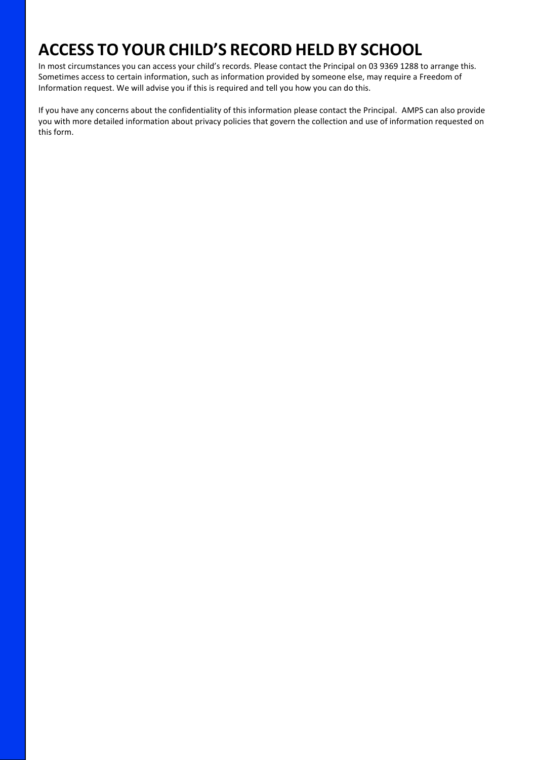# **ACCESS TO YOUR CHILD'S RECORD HELD BY SCHOOL**

In most circumstances you can access your child's records. Please contact the Principal on 03 9369 1288 to arrange this. Sometimes access to certain information, such as information provided by someone else, may require a Freedom of Information request. We will advise you if this is required and tell you how you can do this.

If you have any concerns about the confidentiality of this information please contact the Principal. AMPS can also provide you with more detailed information about privacy policies that govern the collection and use of information requested on this form.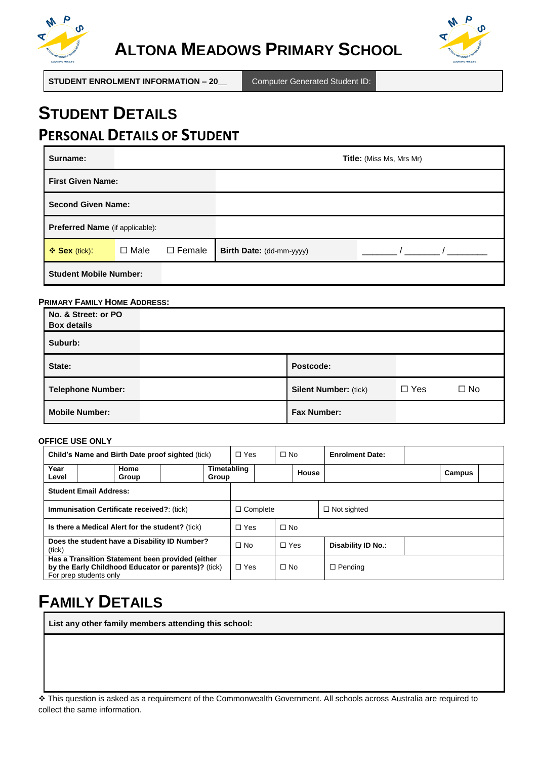



**STUDENT ENROLMENT INFORMATION – 20\_\_** Computer Generated Student ID:

## **STUDENT DETAILS PERSONAL DETAILS OF STUDENT**

| Surname:                        |             |               | <b>Title:</b> (Miss Ms, Mrs Mr) |  |  |
|---------------------------------|-------------|---------------|---------------------------------|--|--|
| <b>First Given Name:</b>        |             |               |                                 |  |  |
| <b>Second Given Name:</b>       |             |               |                                 |  |  |
| Preferred Name (if applicable): |             |               |                                 |  |  |
| ❖ Sex (tick):                   | $\Box$ Male | $\Box$ Female | Birth Date: (dd-mm-yyyy)        |  |  |
| <b>Student Mobile Number:</b>   |             |               |                                 |  |  |

#### **PRIMARY FAMILY HOME ADDRESS:**

| No. & Street: or PO<br><b>Box details</b> |                              |            |              |
|-------------------------------------------|------------------------------|------------|--------------|
| Suburb:                                   |                              |            |              |
| State:                                    | Postcode:                    |            |              |
| <b>Telephone Number:</b>                  | <b>Silent Number: (tick)</b> | $\Box$ Yes | $\square$ No |
| <b>Mobile Number:</b>                     | <b>Fax Number:</b>           |            |              |

#### **OFFICE USE ONLY**

| Child's Name and Birth Date proof sighted (tick)                                                                                  |                                               | $\Box$ Yes |                      | $\Box$ No       |            | <b>Enrolment Date:</b> |                    |        |  |
|-----------------------------------------------------------------------------------------------------------------------------------|-----------------------------------------------|------------|----------------------|-----------------|------------|------------------------|--------------------|--------|--|
| Year<br>Level                                                                                                                     | Home<br>Group                                 |            | Timetabling<br>Group |                 |            | House                  |                    | Campus |  |
|                                                                                                                                   | <b>Student Email Address:</b>                 |            |                      |                 |            |                        |                    |        |  |
| <b>Immunisation Certificate received?: (tick)</b>                                                                                 |                                               |            |                      | $\Box$ Complete |            |                        | $\Box$ Not sighted |        |  |
| Is there a Medical Alert for the student? (tick)                                                                                  |                                               |            | $\Box$ Yes           |                 | $\Box$ No  |                        |                    |        |  |
| (tick)                                                                                                                            | Does the student have a Disability ID Number? |            | $\Box$ No            |                 | $\Box$ Yes |                        | Disability ID No.: |        |  |
| Has a Transition Statement been provided (either<br>by the Early Childhood Educator or parents)? (tick)<br>For prep students only |                                               | $\Box$ Yes |                      | $\Box$ No       |            | $\Box$ Pending         |                    |        |  |

# **FAMILY DETAILS**

**List any other family members attending this school:**

 This question is asked as a requirement of the Commonwealth Government. All schools across Australia are required to collect the same information.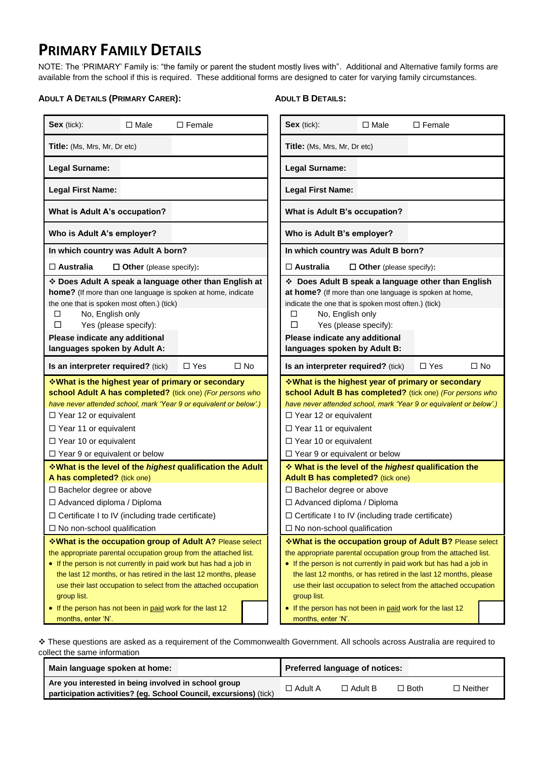## **PRIMARY FAMILY DETAILS**

NOTE: The 'PRIMARY' Family is: "the family or parent the student mostly lives with". Additional and Alternative family forms are available from the school if this is required. These additional forms are designed to cater for varying family circumstances.

#### **ADULT A DETAILS (PRIMARY CARER):**

#### **ADULT B DETAILS:**

| Sex (tick):                                                                                                                                                                                                                                                                                                                                                                                                                                                                                                                                                                                                                                                                                                                | $\Box$ Male                    | $\Box$ Female                                                            |                                                                                                                                                                                                                                                                                                                               | Sex (tick):                                                 | $\Box$ Male                    | $\square$ Female |           |
|----------------------------------------------------------------------------------------------------------------------------------------------------------------------------------------------------------------------------------------------------------------------------------------------------------------------------------------------------------------------------------------------------------------------------------------------------------------------------------------------------------------------------------------------------------------------------------------------------------------------------------------------------------------------------------------------------------------------------|--------------------------------|--------------------------------------------------------------------------|-------------------------------------------------------------------------------------------------------------------------------------------------------------------------------------------------------------------------------------------------------------------------------------------------------------------------------|-------------------------------------------------------------|--------------------------------|------------------|-----------|
| Title: (Ms, Mrs, Mr, Dr etc)                                                                                                                                                                                                                                                                                                                                                                                                                                                                                                                                                                                                                                                                                               |                                |                                                                          |                                                                                                                                                                                                                                                                                                                               | Title: (Ms, Mrs, Mr, Dr etc)                                |                                |                  |           |
| <b>Legal Surname:</b>                                                                                                                                                                                                                                                                                                                                                                                                                                                                                                                                                                                                                                                                                                      |                                |                                                                          |                                                                                                                                                                                                                                                                                                                               | Legal Surname:                                              |                                |                  |           |
| <b>Legal First Name:</b>                                                                                                                                                                                                                                                                                                                                                                                                                                                                                                                                                                                                                                                                                                   |                                |                                                                          |                                                                                                                                                                                                                                                                                                                               | <b>Legal First Name:</b>                                    |                                |                  |           |
| What is Adult A's occupation?                                                                                                                                                                                                                                                                                                                                                                                                                                                                                                                                                                                                                                                                                              |                                |                                                                          |                                                                                                                                                                                                                                                                                                                               | What is Adult B's occupation?                               |                                |                  |           |
| Who is Adult A's employer?                                                                                                                                                                                                                                                                                                                                                                                                                                                                                                                                                                                                                                                                                                 |                                |                                                                          |                                                                                                                                                                                                                                                                                                                               | Who is Adult B's employer?                                  |                                |                  |           |
| In which country was Adult A born?                                                                                                                                                                                                                                                                                                                                                                                                                                                                                                                                                                                                                                                                                         |                                |                                                                          |                                                                                                                                                                                                                                                                                                                               | In which country was Adult B born?                          |                                |                  |           |
| $\Box$ Australia                                                                                                                                                                                                                                                                                                                                                                                                                                                                                                                                                                                                                                                                                                           | $\Box$ Other (please specify): |                                                                          |                                                                                                                                                                                                                                                                                                                               | $\Box$ Australia                                            | $\Box$ Other (please specify): |                  |           |
| * Does Adult A speak a language other than English at<br>Does Adult B speak a language other than English<br>home? (If more than one language is spoken at home, indicate<br>at home? (If more than one language is spoken at home,<br>the one that is spoken most often.) (tick)<br>indicate the one that is spoken most often.) (tick)<br>No, English only<br>No, English only<br>□<br>□<br>Yes (please specify):<br>□<br>Yes (please specify):<br>□<br>Please indicate any additional<br>Please indicate any additional<br>languages spoken by Adult A:<br>languages spoken by Adult B:                                                                                                                                 |                                |                                                                          |                                                                                                                                                                                                                                                                                                                               |                                                             |                                |                  |           |
| Is an interpreter required? (tick)                                                                                                                                                                                                                                                                                                                                                                                                                                                                                                                                                                                                                                                                                         |                                | $\square$ No<br>$\Box$ Yes                                               |                                                                                                                                                                                                                                                                                                                               | Is an interpreter required? (tick)                          |                                | $\Box$ Yes       | $\Box$ No |
| <b>What is the highest year of primary or secondary</b><br>school Adult A has completed? (tick one) (For persons who<br>have never attended school, mark 'Year 9 or equivalent or below'.)<br>$\Box$ Year 12 or equivalent<br>$\Box$ Year 11 or equivalent<br>$\Box$ Year 10 or equivalent<br>$\Box$ Year 9 or equivalent or below                                                                                                                                                                                                                                                                                                                                                                                         |                                |                                                                          | <b>What is the highest year of primary or secondary</b><br>school Adult B has completed? (tick one) (For persons who<br>have never attended school, mark 'Year 9 or equivalent or below'.)<br>$\Box$ Year 12 or equivalent<br>□ Year 11 or equivalent<br>$\Box$ Year 10 or equivalent<br>$\Box$ Year 9 or equivalent or below |                                                             |                                |                  |           |
|                                                                                                                                                                                                                                                                                                                                                                                                                                                                                                                                                                                                                                                                                                                            |                                | <b>V</b> What is the level of the <i>highest</i> qualification the Adult |                                                                                                                                                                                                                                                                                                                               | ❖ What is the level of the <i>highest</i> qualification the |                                |                  |           |
| A has completed? (tick one)<br>□ Bachelor degree or above<br>□ Advanced diploma / Diploma<br>□ Certificate I to IV (including trade certificate)<br>$\Box$ No non-school qualification                                                                                                                                                                                                                                                                                                                                                                                                                                                                                                                                     |                                |                                                                          | Adult B has completed? (tick one)<br>□ Bachelor degree or above<br>□ Advanced diploma / Diploma<br>$\Box$ Certificate I to IV (including trade certificate)<br>$\Box$ No non-school qualification                                                                                                                             |                                                             |                                |                  |           |
|                                                                                                                                                                                                                                                                                                                                                                                                                                                                                                                                                                                                                                                                                                                            |                                | *What is the occupation group of Adult A? Please select                  |                                                                                                                                                                                                                                                                                                                               | *What is the occupation group of Adult B? Please select     |                                |                  |           |
| the appropriate parental occupation group from the attached list.<br>the appropriate parental occupation group from the attached list.<br>• If the person is not currently in paid work but has had a job in<br>• If the person is not currently in paid work but has had a job in<br>the last 12 months, or has retired in the last 12 months, please<br>the last 12 months, or has retired in the last 12 months, please<br>use their last occupation to select from the attached occupation<br>use their last occupation to select from the attached occupation<br>group list.<br>group list.<br>• If the person has not been in paid work for the last 12<br>• If the person has not been in paid work for the last 12 |                                |                                                                          |                                                                                                                                                                                                                                                                                                                               |                                                             |                                |                  |           |
| months, enter 'N'.                                                                                                                                                                                                                                                                                                                                                                                                                                                                                                                                                                                                                                                                                                         |                                |                                                                          |                                                                                                                                                                                                                                                                                                                               | months, enter 'N'.                                          |                                |                  |           |

 These questions are asked as a requirement of the Commonwealth Government. All schools across Australia are required to collect the same information

| Main language spoken at home:                                                                                             |                | Preferred language of notices: |             |                |
|---------------------------------------------------------------------------------------------------------------------------|----------------|--------------------------------|-------------|----------------|
| Are you interested in being involved in school group<br>participation activities? (eg. School Council, excursions) (tick) | $\Box$ Adult A | $\Box$ Adult B                 | $\Box$ Both | $\Box$ Neither |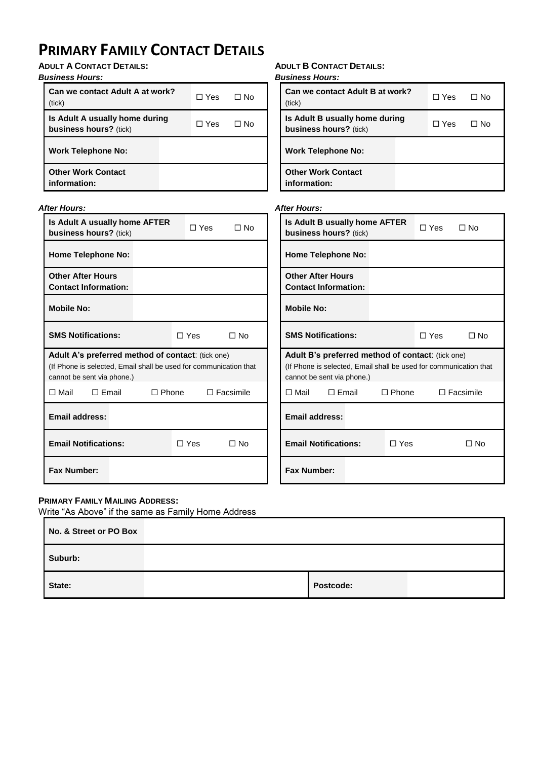# **PRIMARY FAMILY CONTACT DETAILS**

**ADULT A CONTACT DETAILS:**

### *Business Hours:*

| Can we contact Adult A at work?<br>(tick)                | $\Box$ Yes | ⊟ No |
|----------------------------------------------------------|------------|------|
| Is Adult A usually home during<br>business hours? (tick) | ∩ Yes      | ⊟ No |
| <b>Work Telephone No:</b>                                |            |      |
| <b>Other Work Contact</b><br>information:                |            |      |

### **ADULT B CONTACT DETAILS:**

*Business Hours:*

| Can we contact Adult B at work?<br>(tick)                | $\Box$ Yes | ⊟ No |
|----------------------------------------------------------|------------|------|
| Is Adult B usually home during<br>business hours? (tick) | $\Box$ Yes | ⊟ No |
| <b>Work Telephone No:</b>                                |            |      |
| <b>Other Work Contact</b><br>information:                |            |      |

### *After Hours:*

| <b>After Hours:</b>                                               | <b>After Hours:</b>                                               |  |  |
|-------------------------------------------------------------------|-------------------------------------------------------------------|--|--|
| Is Adult A usually home AFTER                                     | Is Adult B usually home AFTER                                     |  |  |
| $\Box$ Yes                                                        | $\Box$ Yes                                                        |  |  |
| $\Box$ No                                                         | $\Box$ No                                                         |  |  |
| business hours? (tick)                                            | business hours? (tick)                                            |  |  |
| <b>Home Telephone No:</b>                                         | <b>Home Telephone No:</b>                                         |  |  |
| <b>Other After Hours</b>                                          | <b>Other After Hours</b>                                          |  |  |
| <b>Contact Information:</b>                                       | <b>Contact Information:</b>                                       |  |  |
| <b>Mobile No:</b>                                                 | <b>Mobile No:</b>                                                 |  |  |
| <b>SMS Notifications:</b>                                         | <b>SMS Notifications:</b>                                         |  |  |
| $\Box$ Yes                                                        | $\Box$ No                                                         |  |  |
| $\Box$ No                                                         | $\Box$ Yes                                                        |  |  |
| Adult A's preferred method of contact: (tick one)                 | Adult B's preferred method of contact: (tick one)                 |  |  |
| (If Phone is selected, Email shall be used for communication that | (If Phone is selected, Email shall be used for communication that |  |  |
| cannot be sent via phone.)                                        | cannot be sent via phone.)                                        |  |  |
| $\Box$ Email                                                      | $\Box$ Email                                                      |  |  |
| $\Box$ Phone                                                      | $\Box$ Mail                                                       |  |  |
| $\Box$ Facsimile                                                  | $\Box$ Phone                                                      |  |  |
| $\Box$ Mail                                                       | $\Box$ Facsimile                                                  |  |  |
| <b>Email address:</b>                                             | <b>Email address:</b>                                             |  |  |
| <b>Email Notifications:</b>                                       | <b>Email Notifications:</b>                                       |  |  |
| $\Box$ Yes                                                        | $\Box$ Yes                                                        |  |  |
| $\square$ No                                                      | $\Box$ No                                                         |  |  |
| <b>Fax Number:</b>                                                | <b>Fax Number:</b>                                                |  |  |

### **PRIMARY FAMILY MAILING ADDRESS:**

Write "As Above" if the same as Family Home Address

| No. & Street or PO Box |           |  |
|------------------------|-----------|--|
| Suburb:                |           |  |
| State:                 | Postcode: |  |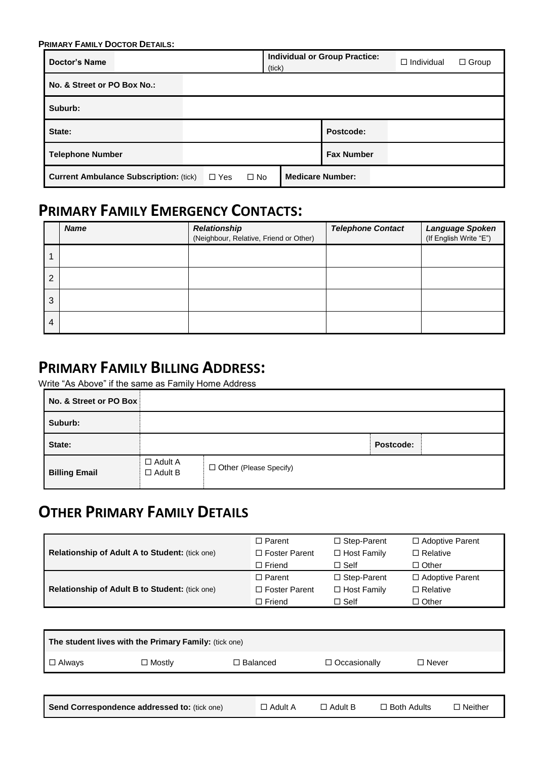| <b>PRIMARY FAMILY DOCTOR DETAILS:</b>         |            |           |                         |                                      |                   |              |  |  |
|-----------------------------------------------|------------|-----------|-------------------------|--------------------------------------|-------------------|--------------|--|--|
| Doctor's Name                                 |            |           |                         | <b>Individual or Group Practice:</b> | $\Box$ Individual | $\Box$ Group |  |  |
| No. & Street or PO Box No.:                   |            |           |                         |                                      |                   |              |  |  |
| Suburb:                                       |            |           |                         |                                      |                   |              |  |  |
| State:                                        |            |           |                         | Postcode:                            |                   |              |  |  |
| <b>Telephone Number</b>                       |            |           |                         | <b>Fax Number</b>                    |                   |              |  |  |
| <b>Current Ambulance Subscription: (tick)</b> | $\Box$ Yes | $\Box$ No | <b>Medicare Number:</b> |                                      |                   |              |  |  |

## **PRIMARY FAMILY EMERGENCY CONTACTS:**

|   | <b>Name</b> | <b>Relationship</b><br>(Neighbour, Relative, Friend or Other) | <b>Telephone Contact</b> | Language Spoken<br>(If English Write "E") |
|---|-------------|---------------------------------------------------------------|--------------------------|-------------------------------------------|
|   |             |                                                               |                          |                                           |
| າ |             |                                                               |                          |                                           |
| 3 |             |                                                               |                          |                                           |
| 4 |             |                                                               |                          |                                           |

## **PRIMARY FAMILY BILLING ADDRESS:**

Write "As Above" if the same as Family Home Address

| No. & Street or PO Box |                                  |                          |           |
|------------------------|----------------------------------|--------------------------|-----------|
| Suburb:                |                                  |                          |           |
| State:                 |                                  |                          | Postcode: |
| <b>Billing Email</b>   | $\Box$ Adult A<br>$\Box$ Adult B | □ Other (Please Specify) |           |

## **OTHER PRIMARY FAMILY DETAILS**

|                                                       | $\Box$ Parent        | $\Box$ Step-Parent | $\Box$ Adoptive Parent |
|-------------------------------------------------------|----------------------|--------------------|------------------------|
| Relationship of Adult A to Student: (tick one)        | $\Box$ Foster Parent | $\Box$ Host Family | $\Box$ Relative        |
|                                                       | $\Box$ Friend        | $\Box$ Self        | $\Box$ Other           |
|                                                       | $\Box$ Parent        | $\Box$ Step-Parent | $\Box$ Adoptive Parent |
| <b>Relationship of Adult B to Student: (tick one)</b> | $\Box$ Foster Parent | $\Box$ Host Family | $\Box$ Relative        |
|                                                       | $\Box$ Friend        | $\Box$ Self        | $\Box$ Other           |

| The student lives with the Primary Family: (tick one) |                                              |                 |                     |                    |                |  |  |  |  |  |
|-------------------------------------------------------|----------------------------------------------|-----------------|---------------------|--------------------|----------------|--|--|--|--|--|
| $\Box$ Always                                         | $\Box$ Mostly                                | $\Box$ Balanced | $\Box$ Occasionally | $\Box$ Never       |                |  |  |  |  |  |
|                                                       |                                              |                 |                     |                    |                |  |  |  |  |  |
|                                                       | Send Correspondence addressed to: (tick one) | $\Box$ Adult A  | $\Box$ Adult B      | $\Box$ Both Adults | $\Box$ Neither |  |  |  |  |  |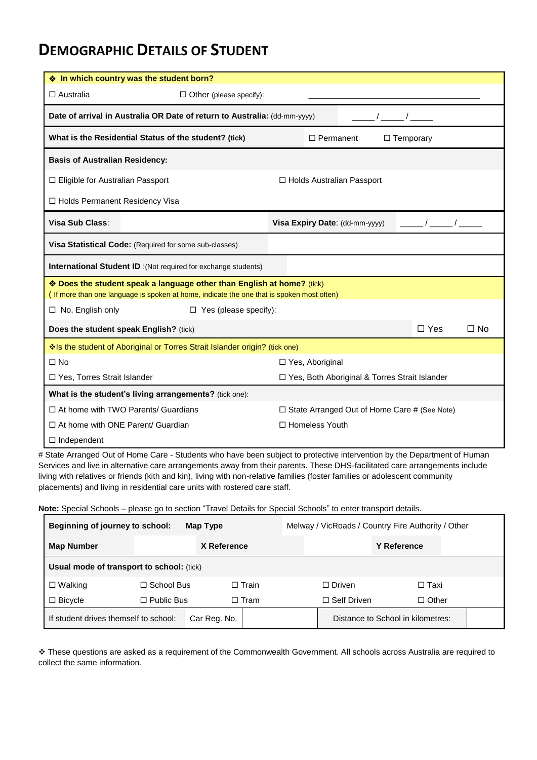### **DEMOGRAPHIC DETAILS OF STUDENT**

|                                                                                               | ❖ In which country was the student born?                                                  |                                                     |                                                                                                                                                                                                                                                                                                                     |  |  |  |  |
|-----------------------------------------------------------------------------------------------|-------------------------------------------------------------------------------------------|-----------------------------------------------------|---------------------------------------------------------------------------------------------------------------------------------------------------------------------------------------------------------------------------------------------------------------------------------------------------------------------|--|--|--|--|
| $\Box$ Australia                                                                              | $\Box$ Other (please specify):                                                            |                                                     |                                                                                                                                                                                                                                                                                                                     |  |  |  |  |
| Date of arrival in Australia OR Date of return to Australia: (dd-mm-yyyy)<br>$\sqrt{2}$       |                                                                                           |                                                     |                                                                                                                                                                                                                                                                                                                     |  |  |  |  |
| What is the Residential Status of the student? (tick)<br>$\Box$ Temporary<br>$\Box$ Permanent |                                                                                           |                                                     |                                                                                                                                                                                                                                                                                                                     |  |  |  |  |
| <b>Basis of Australian Residency:</b>                                                         |                                                                                           |                                                     |                                                                                                                                                                                                                                                                                                                     |  |  |  |  |
| □ Eligible for Australian Passport                                                            |                                                                                           | □ Holds Australian Passport                         |                                                                                                                                                                                                                                                                                                                     |  |  |  |  |
| □ Holds Permanent Residency Visa                                                              |                                                                                           |                                                     |                                                                                                                                                                                                                                                                                                                     |  |  |  |  |
| Visa Sub Class:                                                                               |                                                                                           | Visa Expiry Date: (dd-mm-yyyy)                      | $\frac{1}{2}$ $\frac{1}{2}$ $\frac{1}{2}$ $\frac{1}{2}$ $\frac{1}{2}$ $\frac{1}{2}$ $\frac{1}{2}$ $\frac{1}{2}$ $\frac{1}{2}$ $\frac{1}{2}$ $\frac{1}{2}$ $\frac{1}{2}$ $\frac{1}{2}$ $\frac{1}{2}$ $\frac{1}{2}$ $\frac{1}{2}$ $\frac{1}{2}$ $\frac{1}{2}$ $\frac{1}{2}$ $\frac{1}{2}$ $\frac{1}{2}$ $\frac{1}{2}$ |  |  |  |  |
|                                                                                               | Visa Statistical Code: (Required for some sub-classes)                                    |                                                     |                                                                                                                                                                                                                                                                                                                     |  |  |  |  |
|                                                                                               | <b>International Student ID</b> :(Not required for exchange students)                     |                                                     |                                                                                                                                                                                                                                                                                                                     |  |  |  |  |
|                                                                                               | ❖ Does the student speak a language other than English at home? (tick)                    |                                                     |                                                                                                                                                                                                                                                                                                                     |  |  |  |  |
|                                                                                               | (If more than one language is spoken at home, indicate the one that is spoken most often) |                                                     |                                                                                                                                                                                                                                                                                                                     |  |  |  |  |
| $\Box$ No, English only                                                                       | $\Box$ Yes (please specify):                                                              |                                                     |                                                                                                                                                                                                                                                                                                                     |  |  |  |  |
|                                                                                               | Does the student speak English? (tick)                                                    |                                                     | $\Box$ Yes<br>$\square$ No                                                                                                                                                                                                                                                                                          |  |  |  |  |
|                                                                                               | Is the student of Aboriginal or Torres Strait Islander origin? (tick one)                 |                                                     |                                                                                                                                                                                                                                                                                                                     |  |  |  |  |
| $\square$ No                                                                                  |                                                                                           | □ Yes, Aboriginal                                   |                                                                                                                                                                                                                                                                                                                     |  |  |  |  |
| □ Yes, Torres Strait Islander                                                                 |                                                                                           | □ Yes, Both Aboriginal & Torres Strait Islander     |                                                                                                                                                                                                                                                                                                                     |  |  |  |  |
|                                                                                               | What is the student's living arrangements? (tick one):                                    |                                                     |                                                                                                                                                                                                                                                                                                                     |  |  |  |  |
|                                                                                               | $\Box$ At home with TWO Parents/ Guardians                                                | $\Box$ State Arranged Out of Home Care # (See Note) |                                                                                                                                                                                                                                                                                                                     |  |  |  |  |
| $\Box$ At home with ONE Parent/ Guardian                                                      |                                                                                           | □ Homeless Youth                                    |                                                                                                                                                                                                                                                                                                                     |  |  |  |  |
| $\Box$ Independent                                                                            |                                                                                           |                                                     |                                                                                                                                                                                                                                                                                                                     |  |  |  |  |

# State Arranged Out of Home Care - Students who have been subject to protective intervention by the Department of Human Services and live in alternative care arrangements away from their parents. These DHS-facilitated care arrangements include living with relatives or friends (kith and kin), living with non-relative families (foster families or adolescent community placements) and living in residential care units with rostered care staff.

**Note:** Special Schools – please go to section "Travel Details for Special Schools" to enter transport details.

| Beginning of journey to school:<br>Map Type           |                                  |  |              | Melway / VicRoads / Country Fire Authority / Other |                                   |  |  |
|-------------------------------------------------------|----------------------------------|--|--------------|----------------------------------------------------|-----------------------------------|--|--|
| <b>Map Number</b>                                     | X Reference                      |  |              |                                                    | <b>Y Reference</b>                |  |  |
| <b>Usual mode of transport to school:</b> (tick)      |                                  |  |              |                                                    |                                   |  |  |
| $\Box$ Walking                                        | $\Box$ School Bus                |  | $\Box$ Train | $\Box$ Driven                                      | □ Taxi                            |  |  |
| $\Box$ Bicycle                                        | $\Box$ Public Bus<br>$\Box$ Tram |  |              | $\Box$ Self Driven<br>$\Box$ Other                 |                                   |  |  |
| If student drives themself to school:<br>Car Reg. No. |                                  |  |              |                                                    | Distance to School in kilometres: |  |  |

 These questions are asked as a requirement of the Commonwealth Government. All schools across Australia are required to collect the same information.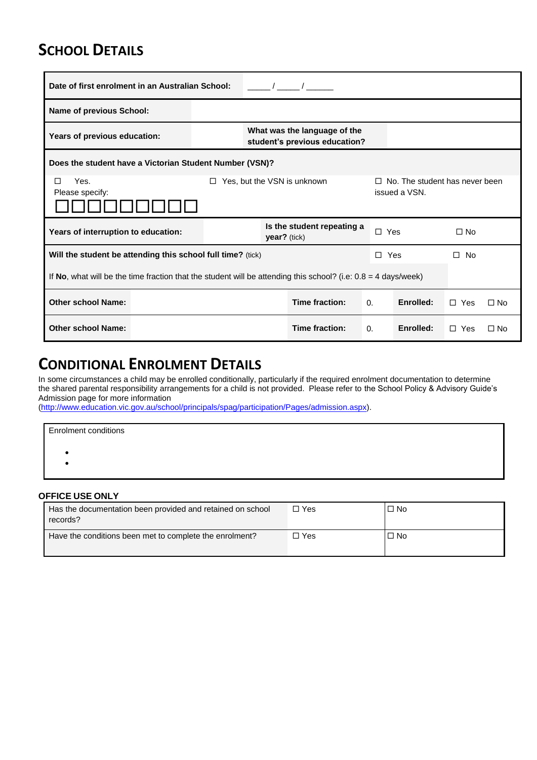## **SCHOOL DETAILS**

| Date of first enrolment in an Australian School:                                                                           |                                                                                                                  |                                                               |  |                |                            |            |           |              |           |
|----------------------------------------------------------------------------------------------------------------------------|------------------------------------------------------------------------------------------------------------------|---------------------------------------------------------------|--|----------------|----------------------------|------------|-----------|--------------|-----------|
| <b>Name of previous School:</b>                                                                                            |                                                                                                                  |                                                               |  |                |                            |            |           |              |           |
| Years of previous education:                                                                                               |                                                                                                                  | What was the language of the<br>student's previous education? |  |                |                            |            |           |              |           |
|                                                                                                                            | Does the student have a Victorian Student Number (VSN)?                                                          |                                                               |  |                |                            |            |           |              |           |
| Yes.<br>Yes, but the VSN is unknown<br>$\Box$ No. The student has never been<br>П<br>□<br>issued a VSN.<br>Please specify: |                                                                                                                  |                                                               |  |                |                            |            |           |              |           |
| Years of interruption to education:                                                                                        |                                                                                                                  |                                                               |  | $year?$ (tick) | Is the student repeating a | $\Box$ Yes |           | $\Box$ No    |           |
| Will the student be attending this school full time? (tick)                                                                |                                                                                                                  |                                                               |  |                |                            | $\Box$ Yes |           | $\square$ No |           |
|                                                                                                                            | If No, what will be the time fraction that the student will be attending this school? (i.e: $0.8 = 4$ days/week) |                                                               |  |                |                            |            |           |              |           |
| <b>Other school Name:</b>                                                                                                  |                                                                                                                  | Time fraction:<br>Enrolled:<br>$\Omega$ .<br>$\Box$ Yes       |  |                |                            |            |           | $\Box$ No    |           |
| <b>Other school Name:</b>                                                                                                  |                                                                                                                  |                                                               |  |                | Time fraction:             | $\Omega$ . | Enrolled: | П.<br>Yes    | $\Box$ No |

## **CONDITIONAL ENROLMENT DETAILS**

In some circumstances a child may be enrolled conditionally, particularly if the required enrolment documentation to determine the shared parental responsibility arrangements for a child is not provided. Please refer to the School Policy & Advisory Guide's Admission page for more information

[\(http://www.education.vic.gov.au/school/principals/spag/participation/Pages/admission.aspx\)](http://www.education.vic.gov.au/school/principals/spag/participation/Pages/admission.aspx).

| <b>Enrolment conditions</b> |  |  |
|-----------------------------|--|--|
|                             |  |  |
|                             |  |  |
|                             |  |  |

#### **OFFICE USE ONLY**

| Has the documentation been provided and retained on school<br>records? | □ Yes | $\Box$ No |
|------------------------------------------------------------------------|-------|-----------|
| Have the conditions been met to complete the enrolment?                | □ Yes | $\Box$ No |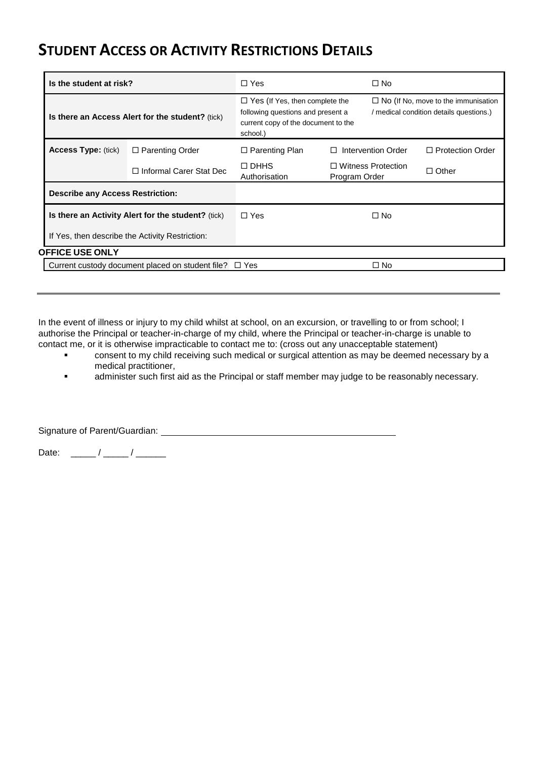### **STUDENT ACCESS OR ACTIVITY RESTRICTIONS DETAILS**

| Is the student at risk?                 |                                                        | $\Box$ Yes                                                                                                                    | $\Box$ No                                                                             |                         |  |
|-----------------------------------------|--------------------------------------------------------|-------------------------------------------------------------------------------------------------------------------------------|---------------------------------------------------------------------------------------|-------------------------|--|
|                                         | Is there an Access Alert for the student? (tick)       | $\Box$ Yes (If Yes, then complete the<br>following questions and present a<br>current copy of the document to the<br>school.) | $\Box$ No (If No, move to the immunisation<br>/ medical condition details questions.) |                         |  |
| <b>Access Type: (tick)</b>              | $\Box$ Parenting Order                                 | $\Box$ Parenting Plan                                                                                                         | Intervention Order<br>П                                                               | $\Box$ Protection Order |  |
|                                         | □ Informal Carer Stat Dec                              | $\Box$ DHHS<br>□ Witness Protection<br>Authorisation<br>Program Order                                                         |                                                                                       | $\Box$ Other            |  |
| <b>Describe any Access Restriction:</b> |                                                        |                                                                                                                               |                                                                                       |                         |  |
|                                         | Is there an Activity Alert for the student? (tick)     | $\Box$ Yes                                                                                                                    | $\Box$ No                                                                             |                         |  |
|                                         | If Yes, then describe the Activity Restriction:        |                                                                                                                               |                                                                                       |                         |  |
| <b>OFFICE USE ONLY</b>                  |                                                        |                                                                                                                               |                                                                                       |                         |  |
|                                         | Current custody document placed on student file? □ Yes |                                                                                                                               | $\square$ No                                                                          |                         |  |
|                                         |                                                        |                                                                                                                               |                                                                                       |                         |  |

In the event of illness or injury to my child whilst at school, on an excursion, or travelling to or from school; I authorise the Principal or teacher-in-charge of my child, where the Principal or teacher-in-charge is unable to contact me, or it is otherwise impracticable to contact me to: (cross out any unacceptable statement)

- consent to my child receiving such medical or surgical attention as may be deemed necessary by a medical practitioner,
- **Example 3** administer such first aid as the Principal or staff member may judge to be reasonably necessary.

Signature of Parent/Guardian:

Date: \_\_\_\_\_ / \_\_\_\_\_ / \_\_\_\_\_\_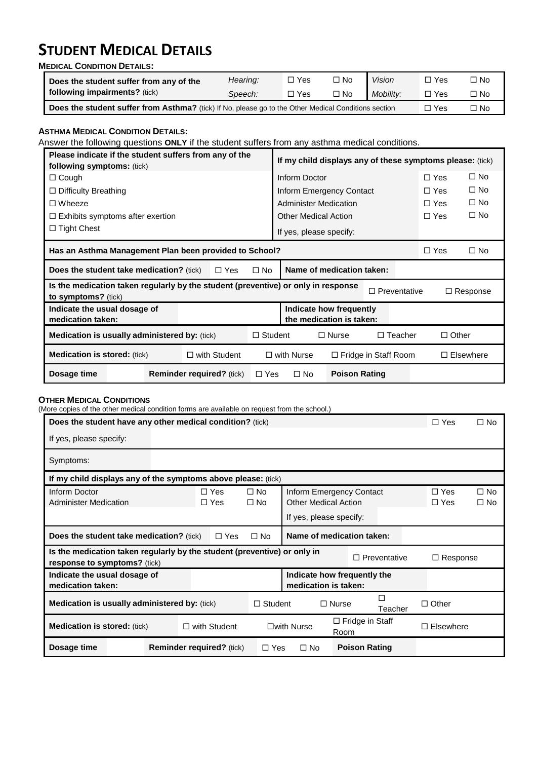# **STUDENT MEDICAL DETAILS**

**MEDICAL CONDITION DETAILS:**

| Does the student suffer from any of the                                                              | Hearing: | □ Yes | $\square$ No | <b>Vision</b> | $\Box$ Yes | □ No |
|------------------------------------------------------------------------------------------------------|----------|-------|--------------|---------------|------------|------|
| following impairments? (tick)                                                                        | Speech:  | □ Yes | $\Box$ No    | Mobility:     | $\Box$ Yes | □ No |
| Does the student suffer from Asthma? (tick) If No, please go to the Other Medical Conditions section |          |       |              |               | □ Yes      | □ No |

#### **ASTHMA MEDICAL CONDITION DETAILS:**

Answer the following questions **ONLY** if the student suffers from any asthma medical conditions.

| Please indicate if the student suffers from any of the<br>following symptoms: (tick)                     |  |  |                                  |                | If my child displays any of these symptoms please: (tick) |                                                     |                     |                |                  |                 |
|----------------------------------------------------------------------------------------------------------|--|--|----------------------------------|----------------|-----------------------------------------------------------|-----------------------------------------------------|---------------------|----------------|------------------|-----------------|
| $\Box$ Cough                                                                                             |  |  |                                  |                | Inform Doctor                                             |                                                     |                     |                | $\Box$ Yes       | $\square$ No    |
| $\Box$ Difficulty Breathing                                                                              |  |  |                                  |                |                                                           | Inform Emergency Contact                            |                     |                | $\Box$ Yes       | $\square$ No    |
| $\Box$ Wheeze                                                                                            |  |  |                                  |                |                                                           | Administer Medication                               |                     |                | $\Box$ Yes       | $\square$ No    |
| $\Box$ Exhibits symptoms after exertion                                                                  |  |  |                                  |                |                                                           | <b>Other Medical Action</b>                         |                     |                | $\Box$ Yes       | $\square$ No    |
| $\Box$ Tight Chest                                                                                       |  |  |                                  |                |                                                           | If yes, please specify:                             |                     |                |                  |                 |
| Has an Asthma Management Plan been provided to School?                                                   |  |  |                                  |                |                                                           |                                                     |                     | $\Box$ Yes     | $\square$ No     |                 |
| <b>Does the student take medication?</b> (tick)                                                          |  |  | $\Box$ Yes                       | $\square$ No   |                                                           | Name of medication taken:                           |                     |                |                  |                 |
| Is the medication taken regularly by the student (preventive) or only in response<br>to symptoms? (tick) |  |  |                                  |                |                                                           |                                                     | $\Box$ Preventative |                |                  | $\Box$ Response |
| Indicate the usual dosage of<br>medication taken:                                                        |  |  |                                  |                |                                                           | Indicate how frequently<br>the medication is taken: |                     |                |                  |                 |
| <b>Medication is usually administered by: (tick)</b>                                                     |  |  |                                  | $\Box$ Student |                                                           | $\square$ Nurse                                     |                     | $\Box$ Teacher | $\Box$ Other     |                 |
| $\Box$ with Student<br><b>Medication is stored:</b> (tick)                                               |  |  |                                  |                | $\Box$ with Nurse<br>$\Box$ Fridge in Staff Room          |                                                     |                     |                | $\Box$ Elsewhere |                 |
| Dosage time                                                                                              |  |  | <b>Reminder required?</b> (tick) | $\Box$ Yes     | $\square$ No                                              | <b>Poison Rating</b>                                |                     |                |                  |                 |

#### **OTHER MEDICAL CONDITIONS**

(More copies of the other medical condition forms are available on request from the school.)

| Does the student have any other medical condition? (tick)                                                |  |                                  |                        |                      |                                                                                    |                        |                     | $\Box$ Yes               | $\square$ No                 |
|----------------------------------------------------------------------------------------------------------|--|----------------------------------|------------------------|----------------------|------------------------------------------------------------------------------------|------------------------|---------------------|--------------------------|------------------------------|
| If yes, please specify:                                                                                  |  |                                  |                        |                      |                                                                                    |                        |                     |                          |                              |
| Symptoms:                                                                                                |  |                                  |                        |                      |                                                                                    |                        |                     |                          |                              |
| If my child displays any of the symptoms above please: (tick)                                            |  |                                  |                        |                      |                                                                                    |                        |                     |                          |                              |
| Inform Doctor<br><b>Administer Medication</b>                                                            |  | $\Box$ Yes<br>$\Box$ Yes         | $\Box$ No<br>$\Box$ No |                      | Inform Emergency Contact<br><b>Other Medical Action</b><br>If yes, please specify: |                        |                     | $\Box$ Yes<br>$\Box$ Yes | $\square$ No<br>$\square$ No |
| <b>Does the student take medication?</b> (tick)                                                          |  | $\Box$ Yes                       | $\Box$ No              |                      | Name of medication taken:                                                          |                        |                     |                          |                              |
| Is the medication taken regularly by the student (preventive) or only in<br>response to symptoms? (tick) |  |                                  |                        |                      |                                                                                    |                        | $\Box$ Preventative | $\Box$ Response          |                              |
| Indicate the usual dosage of<br>medication taken:                                                        |  |                                  |                        |                      | Indicate how frequently the<br>medication is taken:                                |                        |                     |                          |                              |
| <b>Medication is usually administered by: (tick)</b>                                                     |  |                                  | $\Box$ Student         |                      | $\Box$ Nurse                                                                       |                        | г<br>Teacher        | $\Box$ Other             |                              |
| <b>Medication is stored: (tick)</b>                                                                      |  | $\Box$ with Student              |                        | $\square$ with Nurse | Room                                                                               | $\Box$ Fridge in Staff |                     | $\Box$ Elsewhere         |                              |
| Dosage time                                                                                              |  | <b>Reminder required?</b> (tick) | $\Box$ Yes             | $\Box$ No            |                                                                                    | <b>Poison Rating</b>   |                     |                          |                              |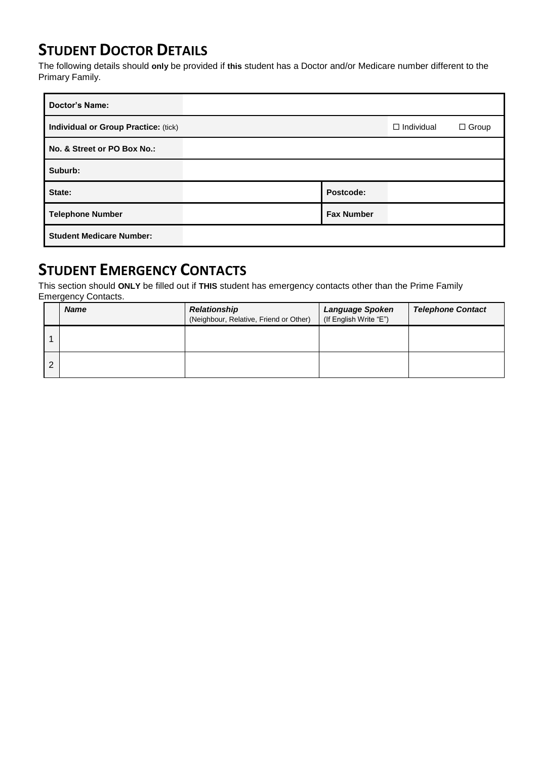## **STUDENT DOCTOR DETAILS**

The following details should **only** be provided if **this** student has a Doctor and/or Medicare number different to the Primary Family.

| <b>Doctor's Name:</b>                |                   |                   |              |
|--------------------------------------|-------------------|-------------------|--------------|
| Individual or Group Practice: (tick) |                   | $\Box$ Individual | $\Box$ Group |
| No. & Street or PO Box No.:          |                   |                   |              |
| Suburb:                              |                   |                   |              |
| State:                               | Postcode:         |                   |              |
| <b>Telephone Number</b>              | <b>Fax Number</b> |                   |              |
| <b>Student Medicare Number:</b>      |                   |                   |              |

## **STUDENT EMERGENCY CONTACTS**

This section should **ONLY** be filled out if **THIS** student has emergency contacts other than the Prime Family Emergency Contacts.

| <b>Name</b> | <b>Relationship</b><br>(Neighbour, Relative, Friend or Other) | <b>Language Spoken</b><br>(If English Write "E") | <b>Telephone Contact</b> |
|-------------|---------------------------------------------------------------|--------------------------------------------------|--------------------------|
|             |                                                               |                                                  |                          |
|             |                                                               |                                                  |                          |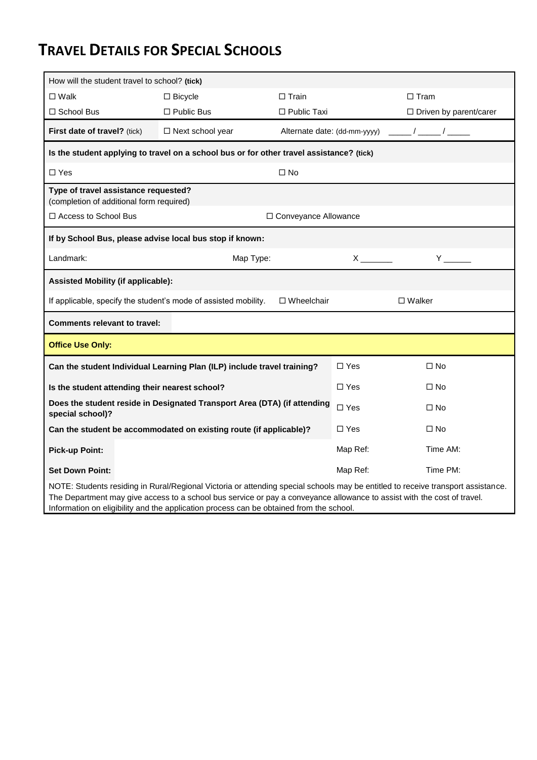# **TRAVEL DETAILS FOR SPECIAL SCHOOLS**

| How will the student travel to school? (tick)                                                                                                                                                                                                               |                                                                         |                              |                                                                                                                                                                                                                                                                                                  |                  |                               |  |
|-------------------------------------------------------------------------------------------------------------------------------------------------------------------------------------------------------------------------------------------------------------|-------------------------------------------------------------------------|------------------------------|--------------------------------------------------------------------------------------------------------------------------------------------------------------------------------------------------------------------------------------------------------------------------------------------------|------------------|-------------------------------|--|
| $\square$ Walk                                                                                                                                                                                                                                              | $\square$ Bicycle                                                       | $\square$ Train              |                                                                                                                                                                                                                                                                                                  | $\Box$ Tram      |                               |  |
| □ School Bus                                                                                                                                                                                                                                                | $\square$ Public Bus                                                    | $\Box$ Public Taxi           |                                                                                                                                                                                                                                                                                                  |                  | $\Box$ Driven by parent/carer |  |
| First date of travel? (tick)                                                                                                                                                                                                                                | □ Next school year                                                      | Alternate date: (dd-mm-yyyy) |                                                                                                                                                                                                                                                                                                  |                  | $\frac{1}{\sqrt{2}}$          |  |
| Is the student applying to travel on a school bus or for other travel assistance? (tick)                                                                                                                                                                    |                                                                         |                              |                                                                                                                                                                                                                                                                                                  |                  |                               |  |
| $\Box$ Yes                                                                                                                                                                                                                                                  |                                                                         | $\square$ No                 |                                                                                                                                                                                                                                                                                                  |                  |                               |  |
| Type of travel assistance requested?<br>(completion of additional form required)                                                                                                                                                                            |                                                                         |                              |                                                                                                                                                                                                                                                                                                  |                  |                               |  |
| □ Access to School Bus                                                                                                                                                                                                                                      | □ Conveyance Allowance                                                  |                              |                                                                                                                                                                                                                                                                                                  |                  |                               |  |
| If by School Bus, please advise local bus stop if known:                                                                                                                                                                                                    |                                                                         |                              |                                                                                                                                                                                                                                                                                                  |                  |                               |  |
| Landmark:                                                                                                                                                                                                                                                   | Map Type:                                                               |                              | $\mathsf{X}$ and $\mathsf{X}$ and $\mathsf{X}$ and $\mathsf{X}$ and $\mathsf{X}$ are $\mathsf{X}$ and $\mathsf{X}$ and $\mathsf{X}$ are $\mathsf{X}$ and $\mathsf{X}$ and $\mathsf{X}$ are $\mathsf{X}$ and $\mathsf{X}$ are $\mathsf{X}$ and $\mathsf{X}$ and $\mathsf{X}$ are $\mathsf{X}$ and |                  | $Y = \Box$                    |  |
| <b>Assisted Mobility (if applicable):</b>                                                                                                                                                                                                                   |                                                                         |                              |                                                                                                                                                                                                                                                                                                  |                  |                               |  |
| If applicable, specify the student's mode of assisted mobility.<br>$\Box$ Wheelchair                                                                                                                                                                        |                                                                         |                              |                                                                                                                                                                                                                                                                                                  | $\square$ Walker |                               |  |
| <b>Comments relevant to travel:</b>                                                                                                                                                                                                                         |                                                                         |                              |                                                                                                                                                                                                                                                                                                  |                  |                               |  |
| <b>Office Use Only:</b>                                                                                                                                                                                                                                     |                                                                         |                              |                                                                                                                                                                                                                                                                                                  |                  |                               |  |
|                                                                                                                                                                                                                                                             | Can the student Individual Learning Plan (ILP) include travel training? |                              | $\Box$ Yes                                                                                                                                                                                                                                                                                       |                  | $\square$ No                  |  |
| Is the student attending their nearest school?                                                                                                                                                                                                              |                                                                         |                              | $\square$ Yes                                                                                                                                                                                                                                                                                    |                  | $\square$ No                  |  |
| Does the student reside in Designated Transport Area (DTA) (if attending<br>special school)?                                                                                                                                                                |                                                                         |                              | $\Box$ Yes                                                                                                                                                                                                                                                                                       |                  | $\Box$ No                     |  |
| Can the student be accommodated on existing route (if applicable)?                                                                                                                                                                                          |                                                                         |                              | $\Box$ Yes                                                                                                                                                                                                                                                                                       |                  | $\Box$ No                     |  |
| <b>Pick-up Point:</b>                                                                                                                                                                                                                                       |                                                                         |                              | Map Ref:                                                                                                                                                                                                                                                                                         |                  | Time AM:                      |  |
| <b>Set Down Point:</b>                                                                                                                                                                                                                                      |                                                                         |                              | Map Ref:                                                                                                                                                                                                                                                                                         |                  | Time PM:                      |  |
| NOTE: Students residing in Rural/Regional Victoria or attending special schools may be entitled to receive transport assistance.<br>The Department may give access to a school bus service or pay a conveyance allowance to assist with the cost of travel. |                                                                         |                              |                                                                                                                                                                                                                                                                                                  |                  |                               |  |

Information on eligibility and the application process can be obtained from the school.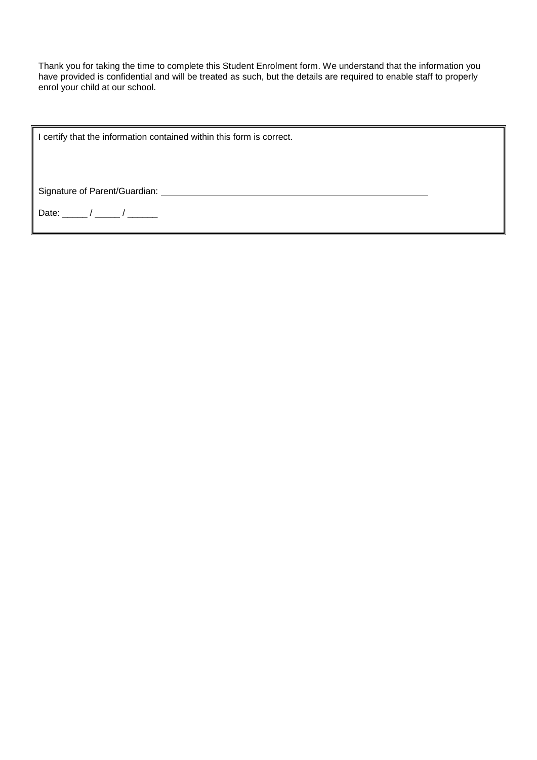Thank you for taking the time to complete this Student Enrolment form. We understand that the information you have provided is confidential and will be treated as such, but the details are required to enable staff to properly enrol your child at our school.

I certify that the information contained within this form is correct.

Signature of Parent/Guardian:

Date:  $/$  /  $/$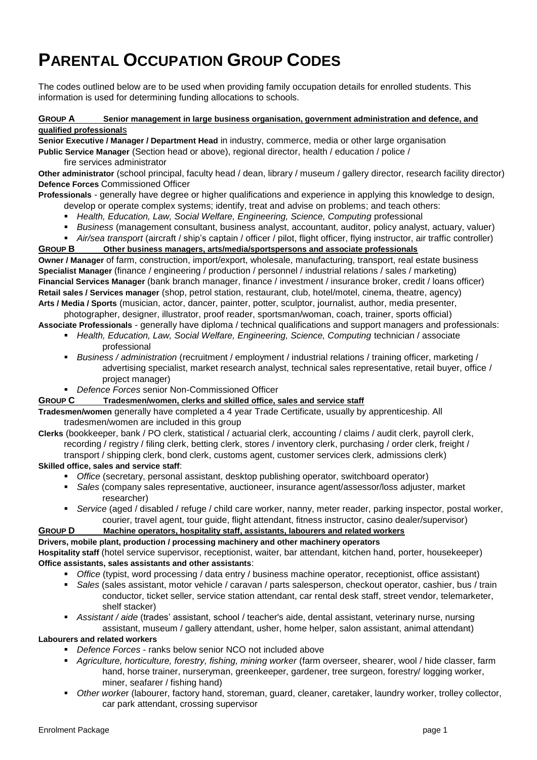# **PARENTAL OCCUPATION GROUP CODES**

The codes outlined below are to be used when providing family occupation details for enrolled students. This information is used for determining funding allocations to schools.

#### **GROUP A Senior management in large business organisation, government administration and defence, and qualified professional**s

**Senior Executive / Manager / Department Head** in industry, commerce, media or other large organisation

**Public Service Manager** (Section head or above), regional director, health / education / police / fire services administrator

**Other administrator** (school principal, faculty head / dean, library / museum / gallery director, research facility director) **Defence Forces** Commissioned Officer

**Professionals** - generally have degree or higher qualifications and experience in applying this knowledge to design, develop or operate complex systems; identify, treat and advise on problems; and teach others:

- *Health, Education, Law, Social Welfare, Engineering, Science, Computing* professional
- *Business* (management consultant, business analyst, accountant, auditor, policy analyst, actuary, valuer)
- *Air/sea transport* (aircraft / ship's captain / officer / pilot, flight officer, flying instructor, air traffic controller)

#### **GROUP B Other business managers, arts/media/sportspersons and associate professionals**

**Owner / Manager** of farm, construction, import/export, wholesale, manufacturing, transport, real estate business **Specialist Manager** (finance / engineering / production / personnel / industrial relations / sales / marketing) **Financial Services Manager** (bank branch manager, finance / investment / insurance broker, credit / loans officer) **Retail sales / Services manager** (shop, petrol station, restaurant, club, hotel/motel, cinema, theatre, agency) **Arts / Media / Sports** (musician, actor, dancer, painter, potter, sculptor, journalist, author, media presenter,

photographer, designer, illustrator, proof reader, sportsman/woman, coach, trainer, sports official) **Associate Professionals** - generally have diploma / technical qualifications and support managers and professionals:

- **Health, Education, Law, Social Welfare, Engineering, Science, Computing technician / associate** 
	- professional
	- *Business / administration* (recruitment / employment / industrial relations / training officer, marketing / advertising specialist, market research analyst, technical sales representative, retail buyer, office / project manager)
	- *Defence Forces* senior Non-Commissioned Officer

#### **GROUP C Tradesmen/women, clerks and skilled office, sales and service staff**

**Tradesmen/women** generally have completed a 4 year Trade Certificate, usually by apprenticeship. All tradesmen/women are included in this group

**Clerks** (bookkeeper, bank / PO clerk, statistical / actuarial clerk, accounting / claims / audit clerk, payroll clerk, recording / registry / filing clerk, betting clerk, stores / inventory clerk, purchasing / order clerk, freight / transport / shipping clerk, bond clerk, customs agent, customer services clerk, admissions clerk)

#### **Skilled office, sales and service staff**:

- *Office* (secretary, personal assistant, desktop publishing operator, switchboard operator)
- *Sales* (company sales representative, auctioneer, insurance agent/assessor/loss adjuster, market researcher)
- *Service* (aged / disabled / refuge / child care worker, nanny, meter reader, parking inspector, postal worker, courier, travel agent, tour guide, flight attendant, fitness instructor, casino dealer/supervisor)

### **GROUP D Machine operators, hospitality staff, assistants, labourers and related workers**

### **Drivers, mobile plant, production / processing machinery and other machinery operators**

**Hospitality staff** (hotel service supervisor, receptionist, waiter, bar attendant, kitchen hand, porter, housekeeper) **Office assistants, sales assistants and other assistants**:

- *Office* (typist, word processing / data entry / business machine operator, receptionist, office assistant)
- *Sales* (sales assistant, motor vehicle / caravan / parts salesperson, checkout operator, cashier, bus / train conductor, ticket seller, service station attendant, car rental desk staff, street vendor, telemarketer, shelf stacker)
- *Assistant / aide* (trades' assistant, school / teacher's aide, dental assistant, veterinary nurse, nursing assistant, museum / gallery attendant, usher, home helper, salon assistant, animal attendant)

#### **Labourers and related workers**

- *Defence Forces* ranks below senior NCO not included above
- *Agriculture, horticulture, forestry, fishing, mining worker* (farm overseer, shearer, wool / hide classer, farm hand, horse trainer, nurseryman, greenkeeper, gardener, tree surgeon, forestry/ logging worker, miner, seafarer / fishing hand)
- *Other worke*r (labourer, factory hand, storeman, guard, cleaner, caretaker, laundry worker, trolley collector, car park attendant, crossing supervisor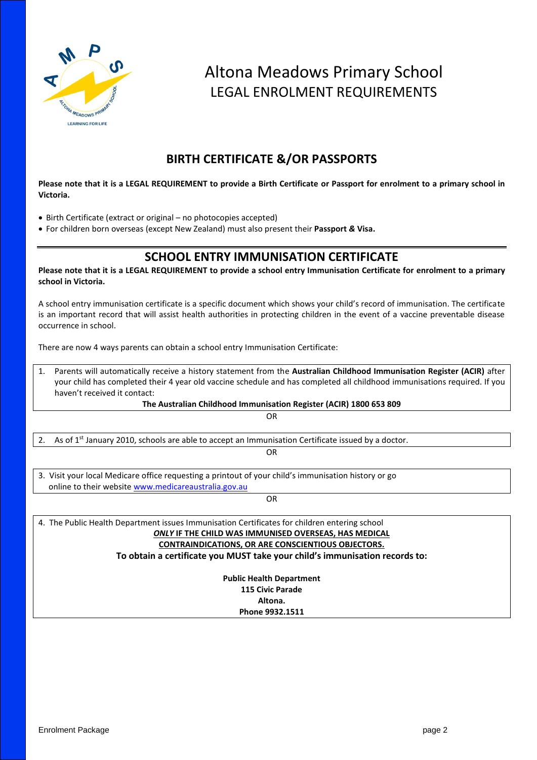

## Altona Meadows Primary School LEGAL ENROLMENT REQUIREMENTS

### **BIRTH CERTIFICATE &/OR PASSPORTS**

#### **Please note that it is a LEGAL REQUIREMENT to provide a Birth Certificate or Passport for enrolment to a primary school in Victoria.**

- Birth Certificate (extract or original no photocopies accepted)
- For children born overseas (except New Zealand) must also present their **Passport** *&* **Visa.**

### **SCHOOL ENTRY IMMUNISATION CERTIFICATE**

**Please note that it is a LEGAL REQUIREMENT to provide a school entry Immunisation Certificate for enrolment to a primary school in Victoria.**

A school entry immunisation certificate is a specific document which shows your child's record of immunisation. The certificate is an important record that will assist health authorities in protecting children in the event of a vaccine preventable disease occurrence in school.

There are now 4 ways parents can obtain a school entry Immunisation Certificate:

1. Parents will automatically receive a history statement from the **Australian Childhood Immunisation Register (ACIR)** after your child has completed their 4 year old vaccine schedule and has completed all childhood immunisations required. If you haven't received it contact:

**The Australian Childhood Immunisation Register (ACIR) 1800 653 809**

OR 2. As of  $1<sup>st</sup>$  January 2010, schools are able to accept an Immunisation Certificate issued by a doctor. OR 3. Visit your local Medicare office requesting a printout of your child's immunisation history or go online to their website [www.medicareaustralia.gov.au](http://www.medicareaustralia.gov.au/) OR 4. The Public Health Department issues Immunisation Certificates for children entering school

*ONLY* **IF THE CHILD WAS IMMUNISED OVERSEAS, HAS MEDICAL CONTRAINDICATIONS, OR ARE CONSCIENTIOUS OBJECTORS. To obtain a certificate you MUST take your child's immunisation records to:**

> **Public Health Department 115 Civic Parade Altona. Phone 9932.1511**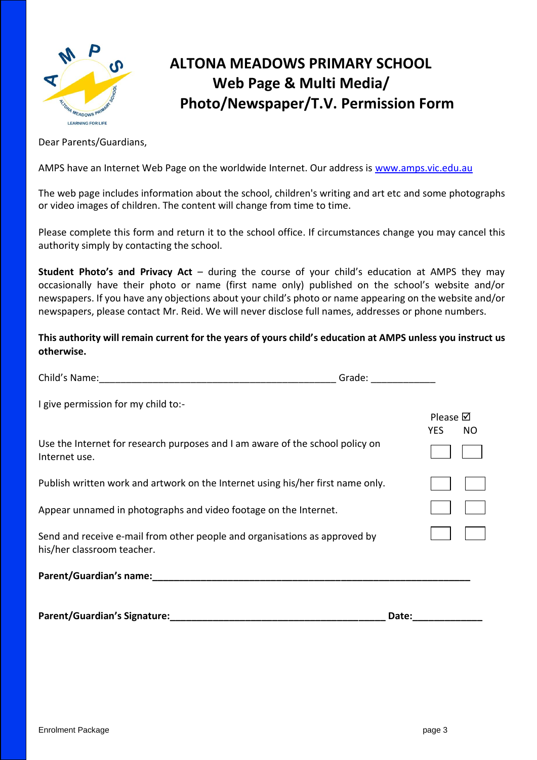

## **ALTONA MEADOWS PRIMARY SCHOOL Web Page & Multi Media/ Photo/Newspaper/T.V. Permission Form**

Dear Parents/Guardians,

AMPS have an Internet Web Page on the worldwide Internet. Our address is [www.amps.vic.edu.au](http://www.amps.vic.edu.au/)

The web page includes information about the school, children's writing and art etc and some photographs or video images of children. The content will change from time to time.

Please complete this form and return it to the school office. If circumstances change you may cancel this authority simply by contacting the school.

**Student Photo's and Privacy Act** – during the course of your child's education at AMPS they may occasionally have their photo or name (first name only) published on the school's website and/or newspapers. If you have any objections about your child's photo or name appearing on the website and/or newspapers, please contact Mr. Reid. We will never disclose full names, addresses or phone numbers.

**This authority will remain current for the years of yours child's education at AMPS unless you instruct us otherwise.**

|                                                                                                                                                                                                                                | Grade:             |
|--------------------------------------------------------------------------------------------------------------------------------------------------------------------------------------------------------------------------------|--------------------|
| I give permission for my child to:-                                                                                                                                                                                            | Please $\boxtimes$ |
| Use the Internet for research purposes and I am aware of the school policy on<br>Internet use.                                                                                                                                 | <b>YES</b><br>NO.  |
| Publish written work and artwork on the Internet using his/her first name only.                                                                                                                                                |                    |
| Appear unnamed in photographs and video footage on the Internet.                                                                                                                                                               |                    |
| Send and receive e-mail from other people and organisations as approved by<br>his/her classroom teacher.                                                                                                                       |                    |
| Parent/Guardian's name: Management of the state of the state of the state of the state of the state of the state of the state of the state of the state of the state of the state of the state of the state of the state of th |                    |
| <b>Parent/Guardian's Signature:</b>                                                                                                                                                                                            | Date:              |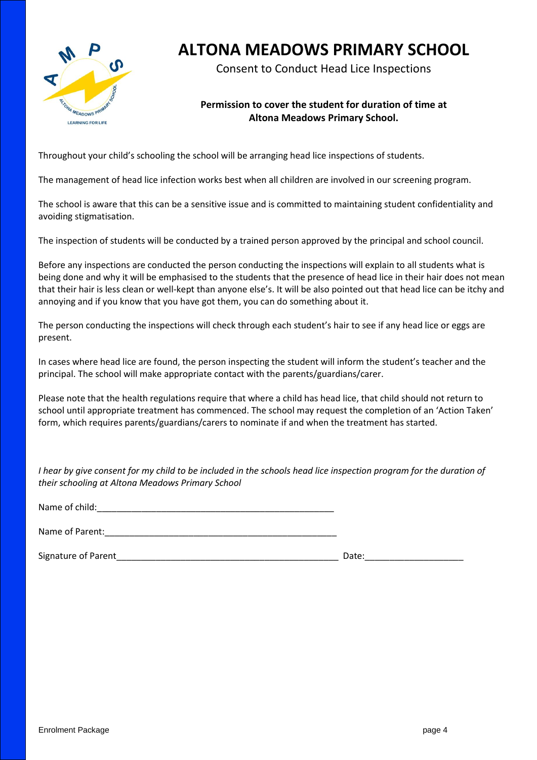

## **ALTONA MEADOWS PRIMARY SCHOOL**

Consent to Conduct Head Lice Inspections

### **Permission to cover the student for duration of time at Altona Meadows Primary School.**

Throughout your child's schooling the school will be arranging head lice inspections of students.

The management of head lice infection works best when all children are involved in our screening program.

The school is aware that this can be a sensitive issue and is committed to maintaining student confidentiality and avoiding stigmatisation.

The inspection of students will be conducted by a trained person approved by the principal and school council.

Before any inspections are conducted the person conducting the inspections will explain to all students what is being done and why it will be emphasised to the students that the presence of head lice in their hair does not mean that their hair is less clean or well-kept than anyone else's. It will be also pointed out that head lice can be itchy and annoying and if you know that you have got them, you can do something about it.

The person conducting the inspections will check through each student's hair to see if any head lice or eggs are present.

In cases where head lice are found, the person inspecting the student will inform the student's teacher and the principal. The school will make appropriate contact with the parents/guardians/carer.

Please note that the health regulations require that where a child has head lice, that child should not return to school until appropriate treatment has commenced. The school may request the completion of an 'Action Taken' form, which requires parents/guardians/carers to nominate if and when the treatment has started.

*I hear by give consent for my child to be included in the schools head lice inspection program for the duration of their schooling at Altona Meadows Primary School*

Name of child:

Name of Parent:

Signature of Parent Theorem 2011 and 2012 and 2012 and 2012 and 2012 and 2012 and 2012 and 2012 and 2012 and 20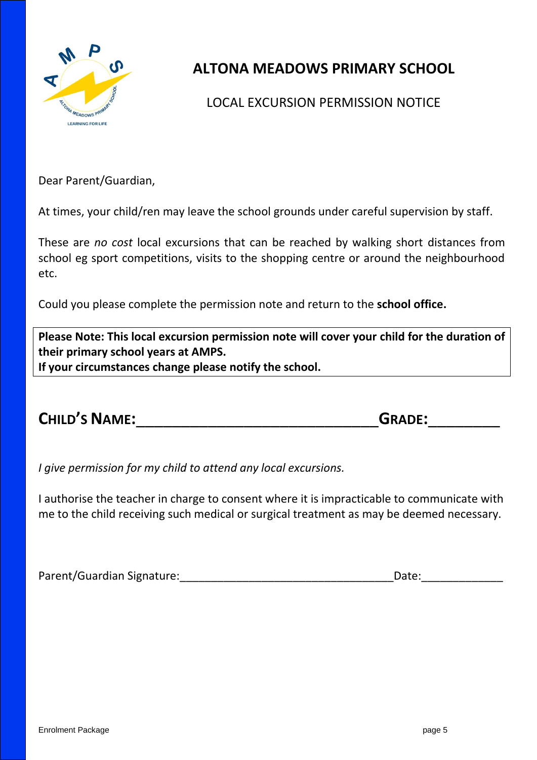

## **ALTONA MEADOWS PRIMARY SCHOOL**

### LOCAL EXCURSION PERMISSION NOTICE

Dear Parent/Guardian,

At times, your child/ren may leave the school grounds under careful supervision by staff.

These are *no cost* local excursions that can be reached by walking short distances from school eg sport competitions, visits to the shopping centre or around the neighbourhood etc.

Could you please complete the permission note and return to the **school office.**

**Please Note: This local excursion permission note will cover your child for the duration of their primary school years at AMPS. If your circumstances change please notify the school.**

| <b>CHILD'S NAME:</b> | <b>GRADE:</b> |
|----------------------|---------------|
|                      |               |

*I give permission for my child to attend any local excursions.*

I authorise the teacher in charge to consent where it is impracticable to communicate with me to the child receiving such medical or surgical treatment as may be deemed necessary.

Parent/Guardian Signature:\_\_\_\_\_\_\_\_\_\_\_\_\_\_\_\_\_\_\_\_\_\_\_\_\_\_\_\_\_\_\_\_\_\_Date:\_\_\_\_\_\_\_\_\_\_\_\_\_